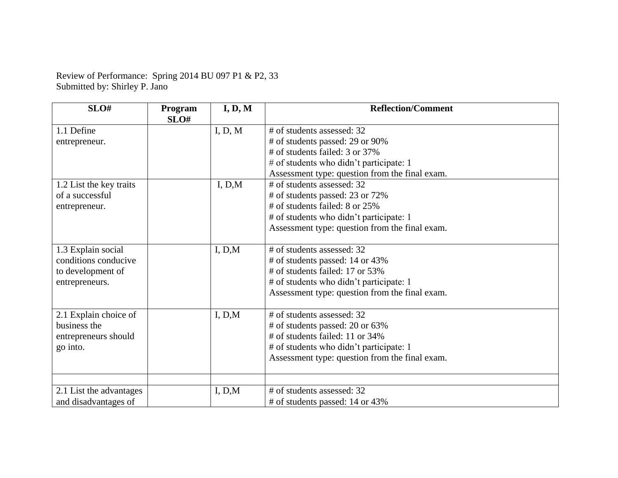Review of Performance: Spring 2014 BU 097 P1 & P2, 33 Submitted by: Shirley P. Jano

| SLO#                                                                                       | Program<br>SLO# | I, D, M           | <b>Reflection/Comment</b>                                                                                                                                                                                                                                                                                                                                                                        |
|--------------------------------------------------------------------------------------------|-----------------|-------------------|--------------------------------------------------------------------------------------------------------------------------------------------------------------------------------------------------------------------------------------------------------------------------------------------------------------------------------------------------------------------------------------------------|
| 1.1 Define<br>entrepreneur.<br>1.2 List the key traits<br>of a successful<br>entrepreneur. |                 | I, D, M<br>I, D,M | # of students assessed: 32<br># of students passed: 29 or 90%<br># of students failed: 3 or 37%<br>$#$ of students who didn't participate: 1<br>Assessment type: question from the final exam.<br># of students assessed: 32<br># of students passed: 23 or 72%<br>$#$ of students failed: 8 or 25%<br># of students who didn't participate: 1<br>Assessment type: question from the final exam. |
| 1.3 Explain social<br>conditions conducive<br>to development of<br>entrepreneurs.          |                 | I, D,M            | # of students assessed: 32<br># of students passed: 14 or 43%<br># of students failed: 17 or 53%<br># of students who didn't participate: 1<br>Assessment type: question from the final exam.                                                                                                                                                                                                    |
| 2.1 Explain choice of<br>business the<br>entrepreneurs should<br>go into.                  |                 | I, D,M            | # of students assessed: 32<br># of students passed: 20 or 63%<br># of students failed: 11 or 34%<br># of students who didn't participate: 1<br>Assessment type: question from the final exam.                                                                                                                                                                                                    |
| 2.1 List the advantages<br>and disadvantages of                                            |                 | I, D,M            | # of students assessed: 32<br># of students passed: 14 or 43%                                                                                                                                                                                                                                                                                                                                    |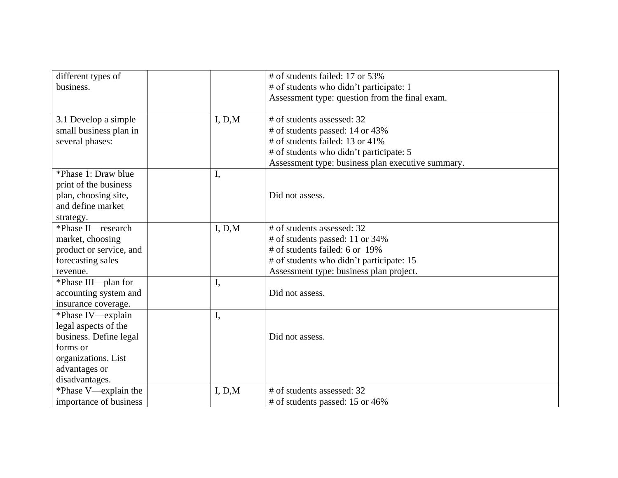| different types of      |        | # of students failed: 17 or 53%                   |
|-------------------------|--------|---------------------------------------------------|
| business.               |        | # of students who didn't participate: 1           |
|                         |        | Assessment type: question from the final exam.    |
|                         |        |                                                   |
| 3.1 Develop a simple    | I, D,M | # of students assessed: 32                        |
| small business plan in  |        | # of students passed: 14 or 43%                   |
| several phases:         |        | # of students failed: 13 or 41%                   |
|                         |        | # of students who didn't participate: 5           |
|                         |        | Assessment type: business plan executive summary. |
| *Phase 1: Draw blue     | I,     |                                                   |
| print of the business   |        |                                                   |
| plan, choosing site,    |        | Did not assess.                                   |
| and define market       |        |                                                   |
| strategy.               |        |                                                   |
| *Phase II—research      | I, D,M | # of students assessed: 32                        |
| market, choosing        |        | # of students passed: 11 or 34%                   |
| product or service, and |        | # of students failed: 6 or 19%                    |
| forecasting sales       |        | # of students who didn't participate: 15          |
| revenue.                |        | Assessment type: business plan project.           |
| *Phase III—plan for     | I,     |                                                   |
| accounting system and   |        | Did not assess.                                   |
| insurance coverage.     |        |                                                   |
| *Phase IV—explain       | I,     |                                                   |
| legal aspects of the    |        |                                                   |
| business. Define legal  |        | Did not assess.                                   |
| forms or                |        |                                                   |
| organizations. List     |        |                                                   |
| advantages or           |        |                                                   |
| disadvantages.          |        |                                                   |
| *Phase V—explain the    | I, D,M | # of students assessed: 32                        |
| importance of business  |        | # of students passed: 15 or 46%                   |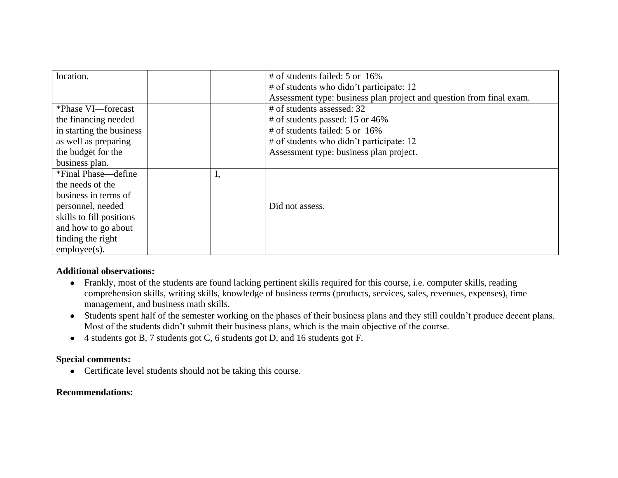| location.                |    | # of students failed: 5 or 16%                                       |
|--------------------------|----|----------------------------------------------------------------------|
|                          |    | # of students who didn't participate: 12                             |
|                          |    | Assessment type: business plan project and question from final exam. |
| *Phase VI—forecast       |    | # of students assessed: 32                                           |
| the financing needed     |    | # of students passed: 15 or 46%                                      |
| in starting the business |    | # of students failed: 5 or 16%                                       |
| as well as preparing     |    | # of students who didn't participate: 12                             |
| the budget for the       |    | Assessment type: business plan project.                              |
| business plan.           |    |                                                                      |
| *Final Phase—define      | ı, |                                                                      |
| the needs of the         |    |                                                                      |
| business in terms of     |    |                                                                      |
| personnel, needed        |    | Did not assess.                                                      |
| skills to fill positions |    |                                                                      |
| and how to go about      |    |                                                                      |
| finding the right        |    |                                                                      |
| $employee(s)$ .          |    |                                                                      |

## **Additional observations:**

- Frankly, most of the students are found lacking pertinent skills required for this course, i.e. computer skills, reading comprehension skills, writing skills, knowledge of business terms (products, services, sales, revenues, expenses), time management, and business math skills.
- Students spent half of the semester working on the phases of their business plans and they still couldn't produce decent plans. Most of the students didn't submit their business plans, which is the main objective of the course.
- 4 students got B, 7 students got C, 6 students got D, and 16 students got F.

## **Special comments:**

• Certificate level students should not be taking this course.

## **Recommendations:**